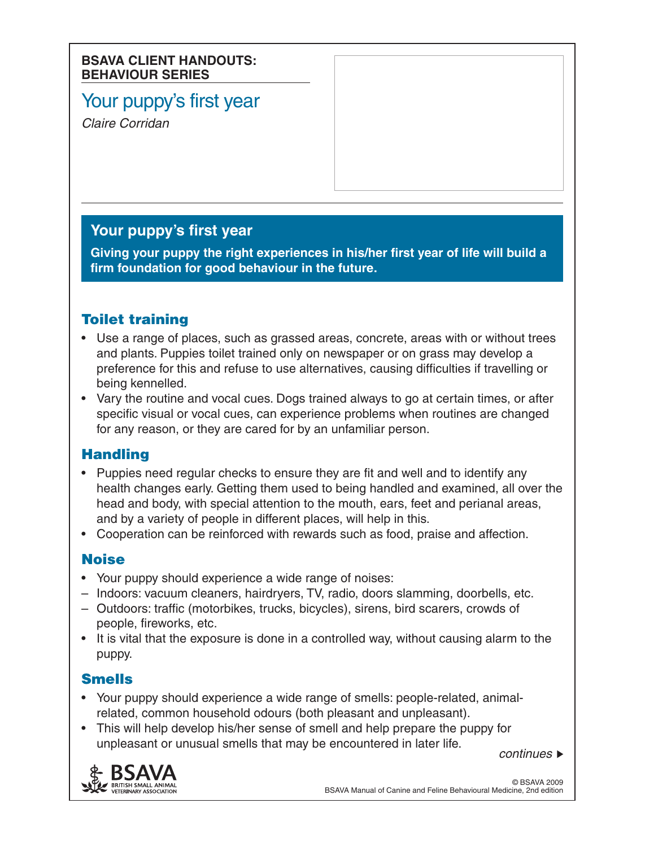#### **BSAVA CLIENT HANDOUTS: BEHAVIOUR SERIES**

# Your puppy's first year

*Claire Corridan*

# **Your puppy's first year**

**Giving your puppy the right experiences in his/her first year of life will build a firm foundation for good behaviour in the future.**

# Toilet training

- Use a range of places, such as grassed areas, concrete, areas with or without trees and plants. Puppies toilet trained only on newspaper or on grass may develop a preference for this and refuse to use alternatives, causing difficulties if travelling or being kennelled.
- Vary the routine and vocal cues. Dogs trained always to go at certain times, or after specific visual or vocal cues, can experience problems when routines are changed for any reason, or they are cared for by an unfamiliar person.

## **Handling**

- Puppies need regular checks to ensure they are fit and well and to identify any health changes early. Getting them used to being handled and examined, all over the head and body, with special attention to the mouth, ears, feet and perianal areas, and by a variety of people in different places, will help in this.
- Cooperation can be reinforced with rewards such as food, praise and affection.

## **Noise**

- Your puppy should experience a wide range of noises:
- – Indoors: vacuum cleaners, hairdryers, TV, radio, doors slamming, doorbells, etc.
- – Outdoors: traffic (motorbikes, trucks, bicycles), sirens, bird scarers, crowds of people, fireworks, etc.
- It is vital that the exposure is done in a controlled way, without causing alarm to the puppy.

# Smells

- • Your puppy should experience a wide range of smells: people-related, animalrelated, common household odours (both pleasant and unpleasant).
- This will help develop his/her sense of smell and help prepare the puppy for unpleasant or unusual smells that may be encountered in later life.

*continues*

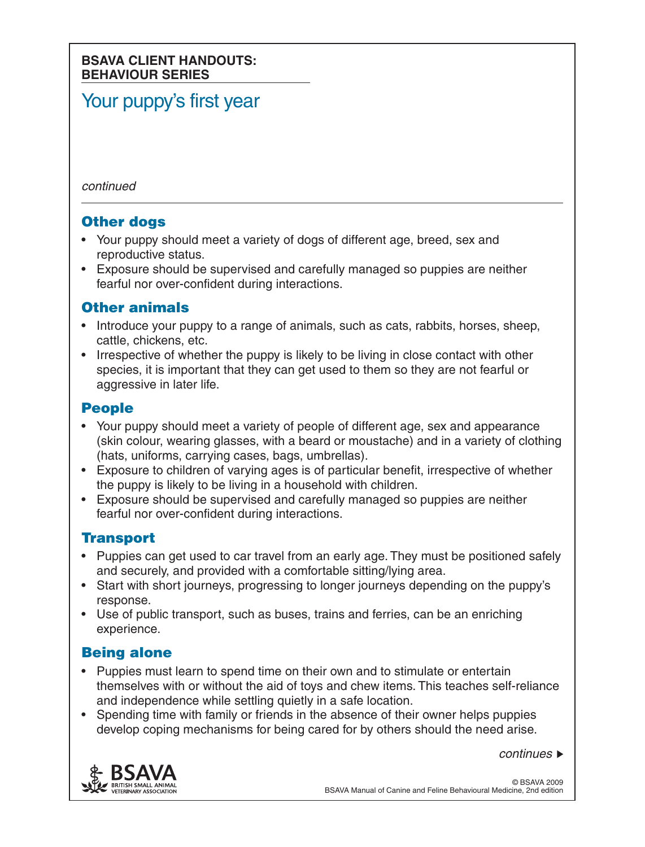#### **BSAVA CLIENT HANDOUTS: BEHAVIOUR SERIES**

# Your puppy's first year

*continued*

#### **Other dogs**

- Your puppy should meet a variety of dogs of different age, breed, sex and reproductive status.
- Exposure should be supervised and carefully managed so puppies are neither fearful nor over-confident during interactions.

## Other animals

- Introduce your puppy to a range of animals, such as cats, rabbits, horses, sheep, cattle, chickens, etc.
- Irrespective of whether the puppy is likely to be living in close contact with other species, it is important that they can get used to them so they are not fearful or aggressive in later life.

#### People

- Your puppy should meet a variety of people of different age, sex and appearance (skin colour, wearing glasses, with a beard or moustache) and in a variety of clothing (hats, uniforms, carrying cases, bags, umbrellas).
- Exposure to children of varying ages is of particular benefit, irrespective of whether the puppy is likely to be living in a household with children.
- Exposure should be supervised and carefully managed so puppies are neither fearful nor over-confident during interactions.

## **Transport**

- Puppies can get used to car travel from an early age. They must be positioned safely and securely, and provided with a comfortable sitting/lying area.
- Start with short journeys, progressing to longer journeys depending on the puppy's response.
- Use of public transport, such as buses, trains and ferries, can be an enriching experience.

## Being alone

- Puppies must learn to spend time on their own and to stimulate or entertain themselves with or without the aid of toys and chew items. This teaches self-reliance and independence while settling quietly in a safe location.
- Spending time with family or friends in the absence of their owner helps puppies develop coping mechanisms for being cared for by others should the need arise.

*continues*